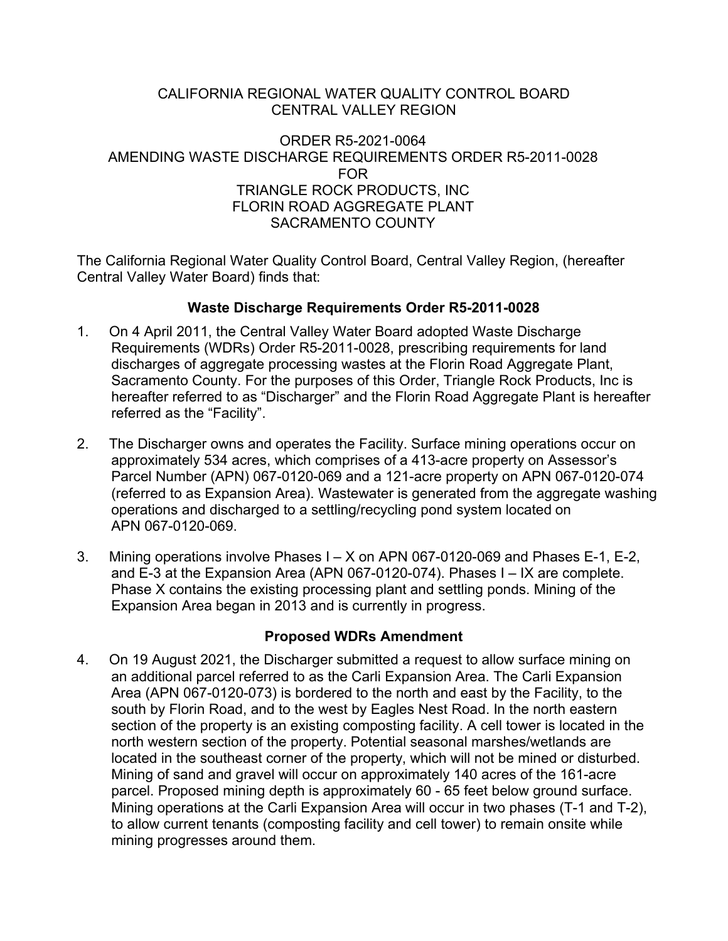#### CALIFORNIA REGIONAL WATER QUALITY CONTROL BOARD CENTRAL VALLEY REGION

#### ORDER R5-2021-0064 AMENDING WASTE DISCHARGE REQUIREMENTS ORDER R5-2011-0028 FOR TRIANGLE ROCK PRODUCTS, INC FLORIN ROAD AGGREGATE PLANT SACRAMENTO COUNTY

The California Regional Water Quality Control Board, Central Valley Region, (hereafter Central Valley Water Board) finds that:

### **Waste Discharge Requirements Order R5-2011-0028**

- 1. On 4 April 2011, the Central Valley Water Board adopted Waste Discharge Requirements (WDRs) Order R5-2011-0028, prescribing requirements for land discharges of aggregate processing wastes at the Florin Road Aggregate Plant, Sacramento County. For the purposes of this Order, Triangle Rock Products, Inc is hereafter referred to as "Discharger" and the Florin Road Aggregate Plant is hereafter referred as the "Facility".
- 2. The Discharger owns and operates the Facility. Surface mining operations occur on approximately 534 acres, which comprises of a 413-acre property on Assessor's Parcel Number (APN) 067-0120-069 and a 121-acre property on APN 067-0120-074 (referred to as Expansion Area). Wastewater is generated from the aggregate washing operations and discharged to a settling/recycling pond system located on APN 067-0120-069.
- 3. Mining operations involve Phases I X on APN 067-0120-069 and Phases E-1, E-2, and E-3 at the Expansion Area (APN 067-0120-074). Phases I – IX are complete. Phase X contains the existing processing plant and settling ponds. Mining of the Expansion Area began in 2013 and is currently in progress.

#### **Proposed WDRs Amendment**

4. On 19 August 2021, the Discharger submitted a request to allow surface mining on an additional parcel referred to as the Carli Expansion Area. The Carli Expansion Area (APN 067-0120-073) is bordered to the north and east by the Facility, to the south by Florin Road, and to the west by Eagles Nest Road. In the north eastern section of the property is an existing composting facility. A cell tower is located in the north western section of the property. Potential seasonal marshes/wetlands are located in the southeast corner of the property, which will not be mined or disturbed. Mining of sand and gravel will occur on approximately 140 acres of the 161-acre parcel. Proposed mining depth is approximately 60 - 65 feet below ground surface. Mining operations at the Carli Expansion Area will occur in two phases (T-1 and T-2), to allow current tenants (composting facility and cell tower) to remain onsite while mining progresses around them.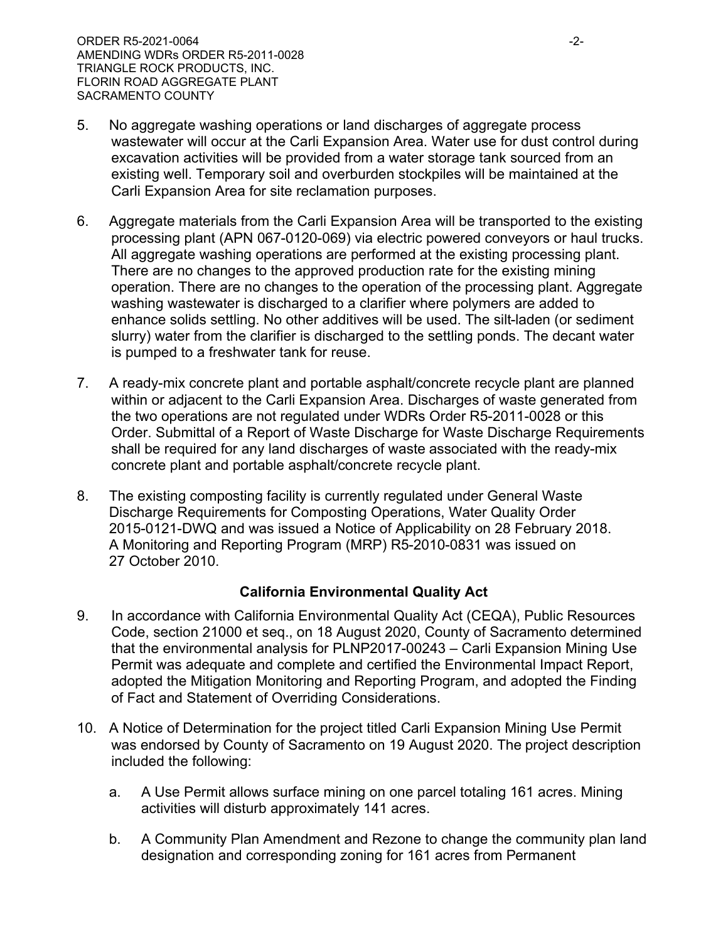- 5. No aggregate washing operations or land discharges of aggregate process wastewater will occur at the Carli Expansion Area. Water use for dust control during excavation activities will be provided from a water storage tank sourced from an existing well. Temporary soil and overburden stockpiles will be maintained at the Carli Expansion Area for site reclamation purposes.
- 6. Aggregate materials from the Carli Expansion Area will be transported to the existing processing plant (APN 067-0120-069) via electric powered conveyors or haul trucks. All aggregate washing operations are performed at the existing processing plant. There are no changes to the approved production rate for the existing mining operation. There are no changes to the operation of the processing plant. Aggregate washing wastewater is discharged to a clarifier where polymers are added to enhance solids settling. No other additives will be used. The silt-laden (or sediment slurry) water from the clarifier is discharged to the settling ponds. The decant water is pumped to a freshwater tank for reuse.
- 7. A ready-mix concrete plant and portable asphalt/concrete recycle plant are planned within or adjacent to the Carli Expansion Area. Discharges of waste generated from the two operations are not regulated under WDRs Order R5-2011-0028 or this Order. Submittal of a Report of Waste Discharge for Waste Discharge Requirements shall be required for any land discharges of waste associated with the ready-mix concrete plant and portable asphalt/concrete recycle plant.
- 8. The existing composting facility is currently regulated under General Waste Discharge Requirements for Composting Operations, Water Quality Order 2015-0121-DWQ and was issued a Notice of Applicability on 28 February 2018. A Monitoring and Reporting Program (MRP) R5-2010-0831 was issued on 27 October 2010.

## **California Environmental Quality Act**

- 9. In accordance with California Environmental Quality Act (CEQA), Public Resources Code, section 21000 et seq., on 18 August 2020, County of Sacramento determined that the environmental analysis for PLNP2017-00243 – Carli Expansion Mining Use Permit was adequate and complete and certified the Environmental Impact Report, adopted the Mitigation Monitoring and Reporting Program, and adopted the Finding of Fact and Statement of Overriding Considerations.
- 10. A Notice of Determination for the project titled Carli Expansion Mining Use Permit was endorsed by County of Sacramento on 19 August 2020. The project description included the following:
	- a. A Use Permit allows surface mining on one parcel totaling 161 acres. Mining activities will disturb approximately 141 acres.
	- b. A Community Plan Amendment and Rezone to change the community plan land designation and corresponding zoning for 161 acres from Permanent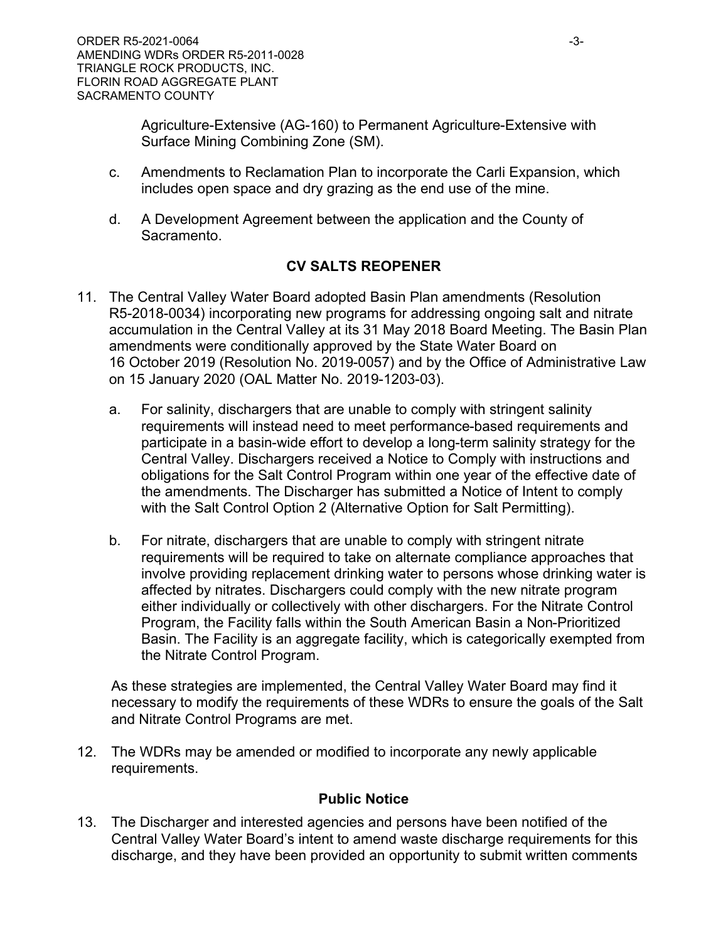Agriculture-Extensive (AG-160) to Permanent Agriculture-Extensive with Surface Mining Combining Zone (SM).

- c. Amendments to Reclamation Plan to incorporate the Carli Expansion, which includes open space and dry grazing as the end use of the mine.
- d. A Development Agreement between the application and the County of Sacramento.

# **CV SALTS REOPENER**

- 11. The Central Valley Water Board adopted Basin Plan amendments (Resolution R5-2018-0034) incorporating new programs for addressing ongoing salt and nitrate accumulation in the Central Valley at its 31 May 2018 Board Meeting. The Basin Plan amendments were conditionally approved by the State Water Board on 16 October 2019 (Resolution No. 2019-0057) and by the Office of Administrative Law on 15 January 2020 (OAL Matter No. 2019-1203-03).
	- a. For salinity, dischargers that are unable to comply with stringent salinity requirements will instead need to meet performance-based requirements and participate in a basin-wide effort to develop a long-term salinity strategy for the Central Valley. Dischargers received a Notice to Comply with instructions and obligations for the Salt Control Program within one year of the effective date of the amendments. The Discharger has submitted a Notice of Intent to comply with the Salt Control Option 2 (Alternative Option for Salt Permitting).
	- b. For nitrate, dischargers that are unable to comply with stringent nitrate requirements will be required to take on alternate compliance approaches that involve providing replacement drinking water to persons whose drinking water is affected by nitrates. Dischargers could comply with the new nitrate program either individually or collectively with other dischargers. For the Nitrate Control Program, the Facility falls within the South American Basin a Non-Prioritized Basin. The Facility is an aggregate facility, which is categorically exempted from the Nitrate Control Program.

As these strategies are implemented, the Central Valley Water Board may find it necessary to modify the requirements of these WDRs to ensure the goals of the Salt and Nitrate Control Programs are met.

12. The WDRs may be amended or modified to incorporate any newly applicable requirements.

## **Public Notice**

13. The Discharger and interested agencies and persons have been notified of the Central Valley Water Board's intent to amend waste discharge requirements for this discharge, and they have been provided an opportunity to submit written comments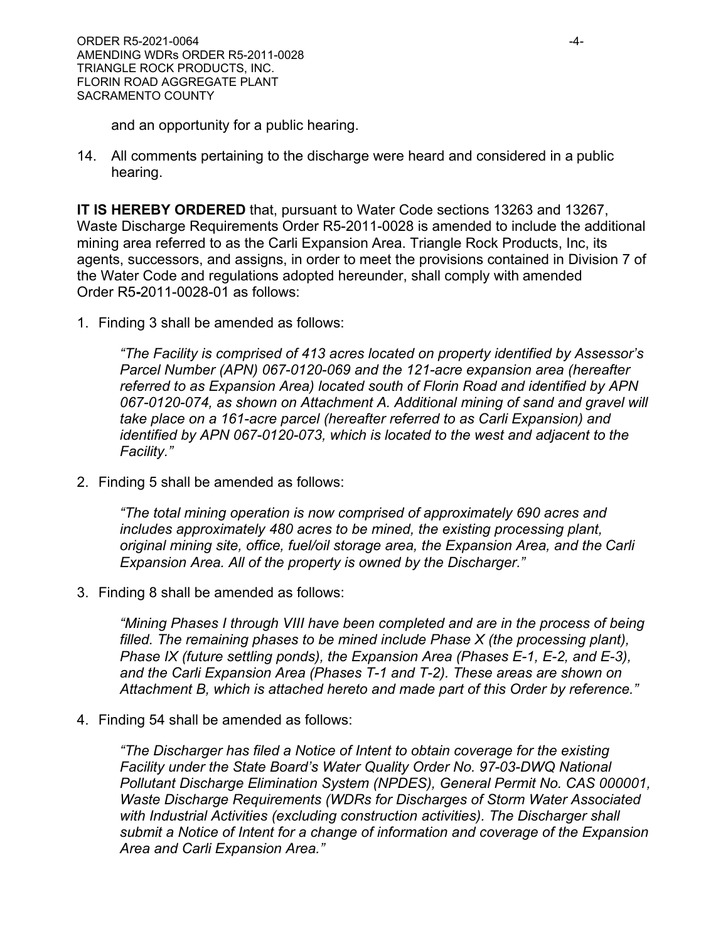and an opportunity for a public hearing.

14. All comments pertaining to the discharge were heard and considered in a public hearing.

**IT IS HEREBY ORDERED** that, pursuant to Water Code sections 13263 and 13267, Waste Discharge Requirements Order R5-2011-0028 is amended to include the additional mining area referred to as the Carli Expansion Area. Triangle Rock Products, Inc, its agents, successors, and assigns, in order to meet the provisions contained in Division 7 of the Water Code and regulations adopted hereunder, shall comply with amended Order R5**-**2011-0028-01 as follows:

1. Finding 3 shall be amended as follows:

*"The Facility is comprised of 413 acres located on property identified by Assessor's Parcel Number (APN) 067-0120-069 and the 121-acre expansion area (hereafter referred to as Expansion Area) located south of Florin Road and identified by APN 067-0120-074, as shown on Attachment A. Additional mining of sand and gravel will take place on a 161-acre parcel (hereafter referred to as Carli Expansion) and identified by APN 067-0120-073, which is located to the west and adjacent to the Facility."*

2. Finding 5 shall be amended as follows:

*"The total mining operation is now comprised of approximately 690 acres and includes approximately 480 acres to be mined, the existing processing plant, original mining site, office, fuel/oil storage area, the Expansion Area, and the Carli Expansion Area. All of the property is owned by the Discharger."*

3. Finding 8 shall be amended as follows:

*"Mining Phases I through VIII have been completed and are in the process of being filled. The remaining phases to be mined include Phase X (the processing plant), Phase IX (future settling ponds), the Expansion Area (Phases E-1, E-2, and E-3), and the Carli Expansion Area (Phases T-1 and T-2). These areas are shown on Attachment B, which is attached hereto and made part of this Order by reference."*

4. Finding 54 shall be amended as follows:

*"The Discharger has filed a Notice of Intent to obtain coverage for the existing Facility under the State Board's Water Quality Order No. 97-03-DWQ National Pollutant Discharge Elimination System (NPDES), General Permit No. CAS 000001, Waste Discharge Requirements (WDRs for Discharges of Storm Water Associated with Industrial Activities (excluding construction activities). The Discharger shall submit a Notice of Intent for a change of information and coverage of the Expansion Area and Carli Expansion Area."*